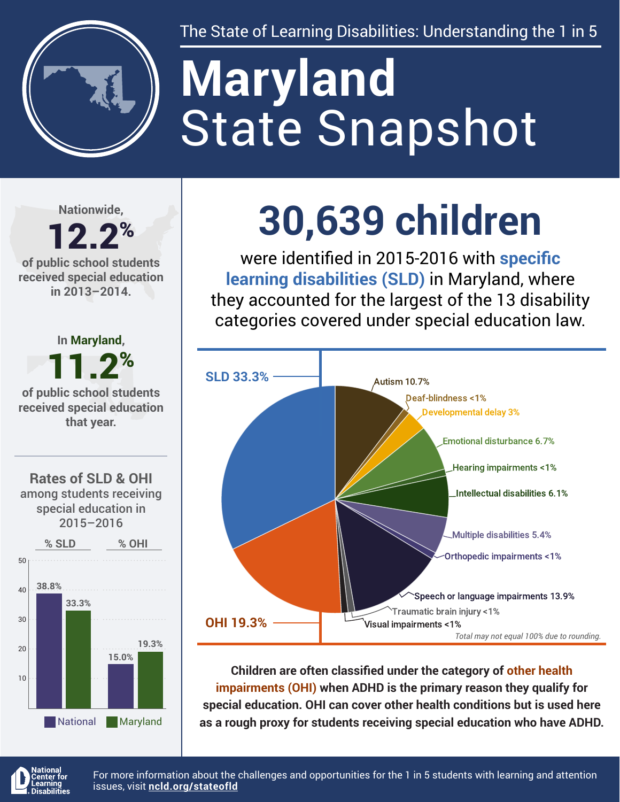

The State of Learning Disabilities: Understanding the 1 in 5

# State Snapshot **Maryland**

**Nationwide,**

## 12.2% **of public school students**

**received special education in 2013–2014.**



**30,639 children**

were identified in 2015-2016 with **specific learning disabilities (SLD)** in Maryland, where they accounted for the largest of the 13 disability categories covered under special education law.



**Children are often classified under the category of other health impairments (OHI) when ADHD is the primary reason they qualify for special education. OHI can cover other health conditions but is used here as a rough proxy for students receiving special education who have ADHD.**



For more information about the challenges and opportunities for the 1 in 5 students with learning and attention issues, visit **[ncld.org/stateofld](http://ncld.org/stateofld)**